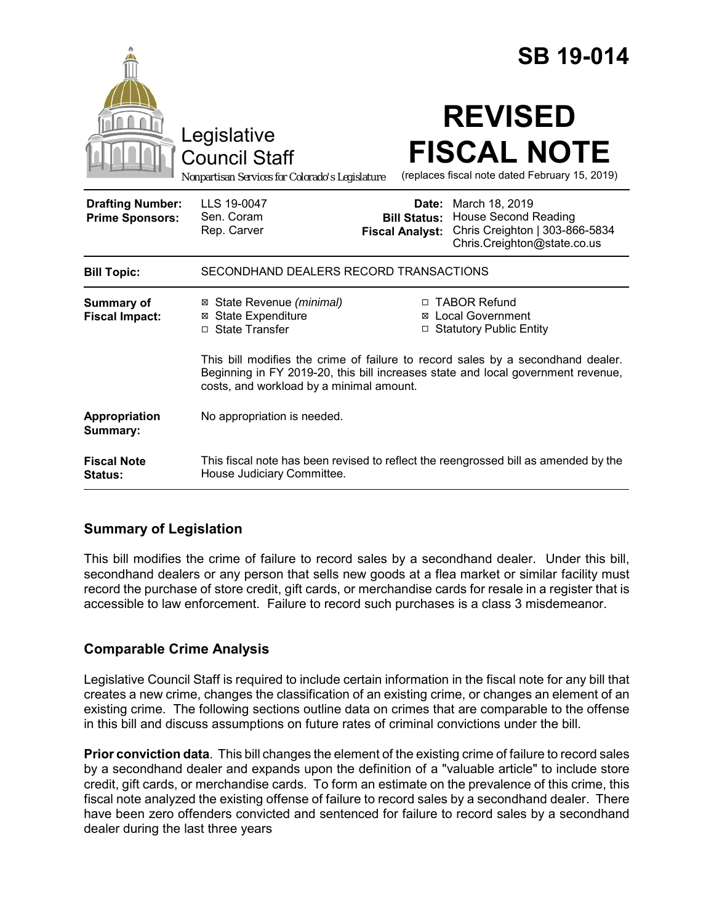|                                                   |                                                                                                                                                                                                                 |                                               | <b>SB 19-014</b>                                                                                                            |
|---------------------------------------------------|-----------------------------------------------------------------------------------------------------------------------------------------------------------------------------------------------------------------|-----------------------------------------------|-----------------------------------------------------------------------------------------------------------------------------|
|                                                   | Legislative<br><b>Council Staff</b><br>Nonpartisan Services for Colorado's Legislature                                                                                                                          |                                               | <b>REVISED</b><br><b>FISCAL NOTE</b><br>(replaces fiscal note dated February 15, 2019)                                      |
| <b>Drafting Number:</b><br><b>Prime Sponsors:</b> | LLS 19-0047<br>Sen. Coram<br>Rep. Carver                                                                                                                                                                        | <b>Bill Status:</b><br><b>Fiscal Analyst:</b> | <b>Date:</b> March 18, 2019<br><b>House Second Reading</b><br>Chris Creighton   303-866-5834<br>Chris.Creighton@state.co.us |
| <b>Bill Topic:</b>                                | SECONDHAND DEALERS RECORD TRANSACTIONS                                                                                                                                                                          |                                               |                                                                                                                             |
| Summary of<br><b>Fiscal Impact:</b>               | ⊠ State Revenue (minimal)<br><b>State Expenditure</b><br>⊠<br>□ State Transfer                                                                                                                                  |                                               | □ TABOR Refund<br>⊠ Local Government<br>□ Statutory Public Entity                                                           |
|                                                   | This bill modifies the crime of failure to record sales by a secondhand dealer.<br>Beginning in FY 2019-20, this bill increases state and local government revenue,<br>costs, and workload by a minimal amount. |                                               |                                                                                                                             |
| Appropriation<br>Summary:                         | No appropriation is needed.                                                                                                                                                                                     |                                               |                                                                                                                             |
| <b>Fiscal Note</b><br>Status:                     | House Judiciary Committee.                                                                                                                                                                                      |                                               | This fiscal note has been revised to reflect the reengrossed bill as amended by the                                         |

## **Summary of Legislation**

This bill modifies the crime of failure to record sales by a secondhand dealer. Under this bill, secondhand dealers or any person that sells new goods at a flea market or similar facility must record the purchase of store credit, gift cards, or merchandise cards for resale in a register that is accessible to law enforcement. Failure to record such purchases is a class 3 misdemeanor.

# **Comparable Crime Analysis**

Legislative Council Staff is required to include certain information in the fiscal note for any bill that creates a new crime, changes the classification of an existing crime, or changes an element of an existing crime. The following sections outline data on crimes that are comparable to the offense in this bill and discuss assumptions on future rates of criminal convictions under the bill.

**Prior conviction data**. This bill changes the element of the existing crime of failure to record sales by a secondhand dealer and expands upon the definition of a "valuable article" to include store credit, gift cards, or merchandise cards. To form an estimate on the prevalence of this crime, this fiscal note analyzed the existing offense of failure to record sales by a secondhand dealer. There have been zero offenders convicted and sentenced for failure to record sales by a secondhand dealer during the last three years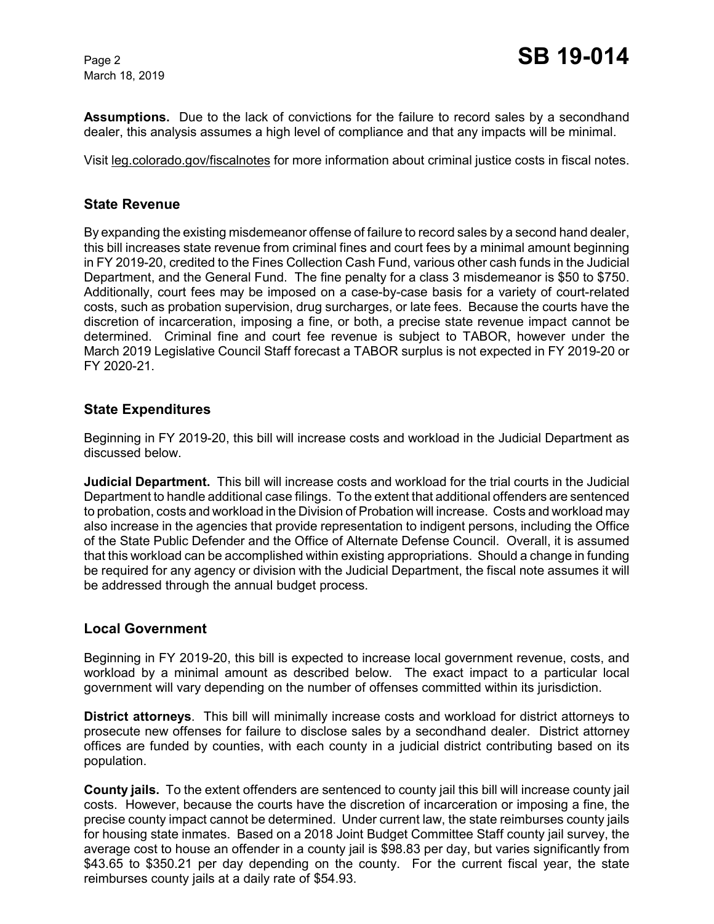March 18, 2019

**Assumptions.** Due to the lack of convictions for the failure to record sales by a secondhand dealer, this analysis assumes a high level of compliance and that any impacts will be minimal.

Visit leg.colorado.gov/fiscalnotes for more information about criminal justice costs in fiscal notes.

#### **State Revenue**

By expanding the existing misdemeanor offense of failure to record sales by a second hand dealer, this bill increases state revenue from criminal fines and court fees by a minimal amount beginning in FY 2019-20, credited to the Fines Collection Cash Fund, various other cash funds in the Judicial Department, and the General Fund. The fine penalty for a class 3 misdemeanor is \$50 to \$750. Additionally, court fees may be imposed on a case-by-case basis for a variety of court-related costs, such as probation supervision, drug surcharges, or late fees. Because the courts have the discretion of incarceration, imposing a fine, or both, a precise state revenue impact cannot be determined. Criminal fine and court fee revenue is subject to TABOR, however under the March 2019 Legislative Council Staff forecast a TABOR surplus is not expected in FY 2019-20 or FY 2020-21.

### **State Expenditures**

Beginning in FY 2019-20, this bill will increase costs and workload in the Judicial Department as discussed below.

**Judicial Department.** This bill will increase costs and workload for the trial courts in the Judicial Department to handle additional case filings. To the extent that additional offenders are sentenced to probation, costs and workload in the Division of Probation will increase. Costs and workload may also increase in the agencies that provide representation to indigent persons, including the Office of the State Public Defender and the Office of Alternate Defense Council. Overall, it is assumed that this workload can be accomplished within existing appropriations. Should a change in funding be required for any agency or division with the Judicial Department, the fiscal note assumes it will be addressed through the annual budget process.

#### **Local Government**

Beginning in FY 2019-20, this bill is expected to increase local government revenue, costs, and workload by a minimal amount as described below. The exact impact to a particular local government will vary depending on the number of offenses committed within its jurisdiction.

**District attorneys**. This bill will minimally increase costs and workload for district attorneys to prosecute new offenses for failure to disclose sales by a secondhand dealer. District attorney offices are funded by counties, with each county in a judicial district contributing based on its population.

**County jails.** To the extent offenders are sentenced to county jail this bill will increase county jail costs. However, because the courts have the discretion of incarceration or imposing a fine, the precise county impact cannot be determined. Under current law, the state reimburses county jails for housing state inmates. Based on a 2018 Joint Budget Committee Staff county jail survey, the average cost to house an offender in a county jail is \$98.83 per day, but varies significantly from \$43.65 to \$350.21 per day depending on the county. For the current fiscal year, the state reimburses county jails at a daily rate of \$54.93.